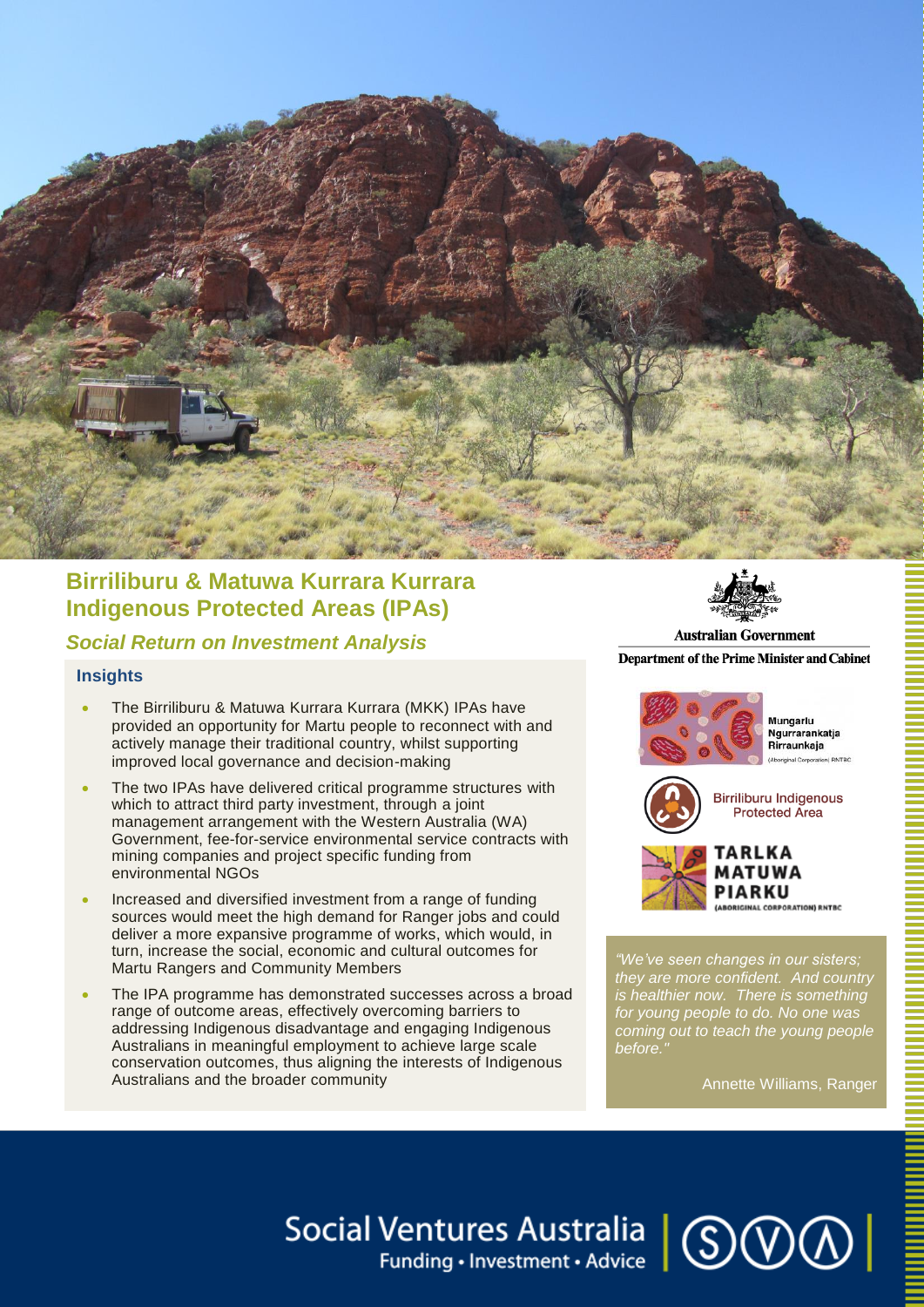

# **Birriliburu & Matuwa Kurrara Kurrara Indigenous Protected Areas (IPAs)**

## *Social Return on Investment Analysis*

#### **Insights**

- The Birriliburu & Matuwa Kurrara Kurrara (MKK) IPAs have provided an opportunity for Martu people to reconnect with and actively manage their traditional country, whilst supporting improved local governance and decision-making
- The two IPAs have delivered critical programme structures with which to attract third party investment, through a joint management arrangement with the Western Australia (WA) Government, fee-for-service environmental service contracts with mining companies and project specific funding from environmental NGOs
- Increased and diversified investment from a range of funding sources would meet the high demand for Ranger jobs and could deliver a more expansive programme of works, which would, in turn, increase the social, economic and cultural outcomes for Martu Rangers and Community Members
- The IPA programme has demonstrated successes across a broad range of outcome areas, effectively overcoming barriers to addressing Indigenous disadvantage and engaging Indigenous Australians in meaningful employment to achieve large scale conservation outcomes, thus aligning the interests of Indigenous Australians and the broader community



**Australian Government Department of the Prime Minister and Cabinet** 



*"We've seen changes in our sisters; they are more confident. And country is healthier now. There is something for young people to do. No one was coming out to teach the young people before."*

Annette Williams, Ranger

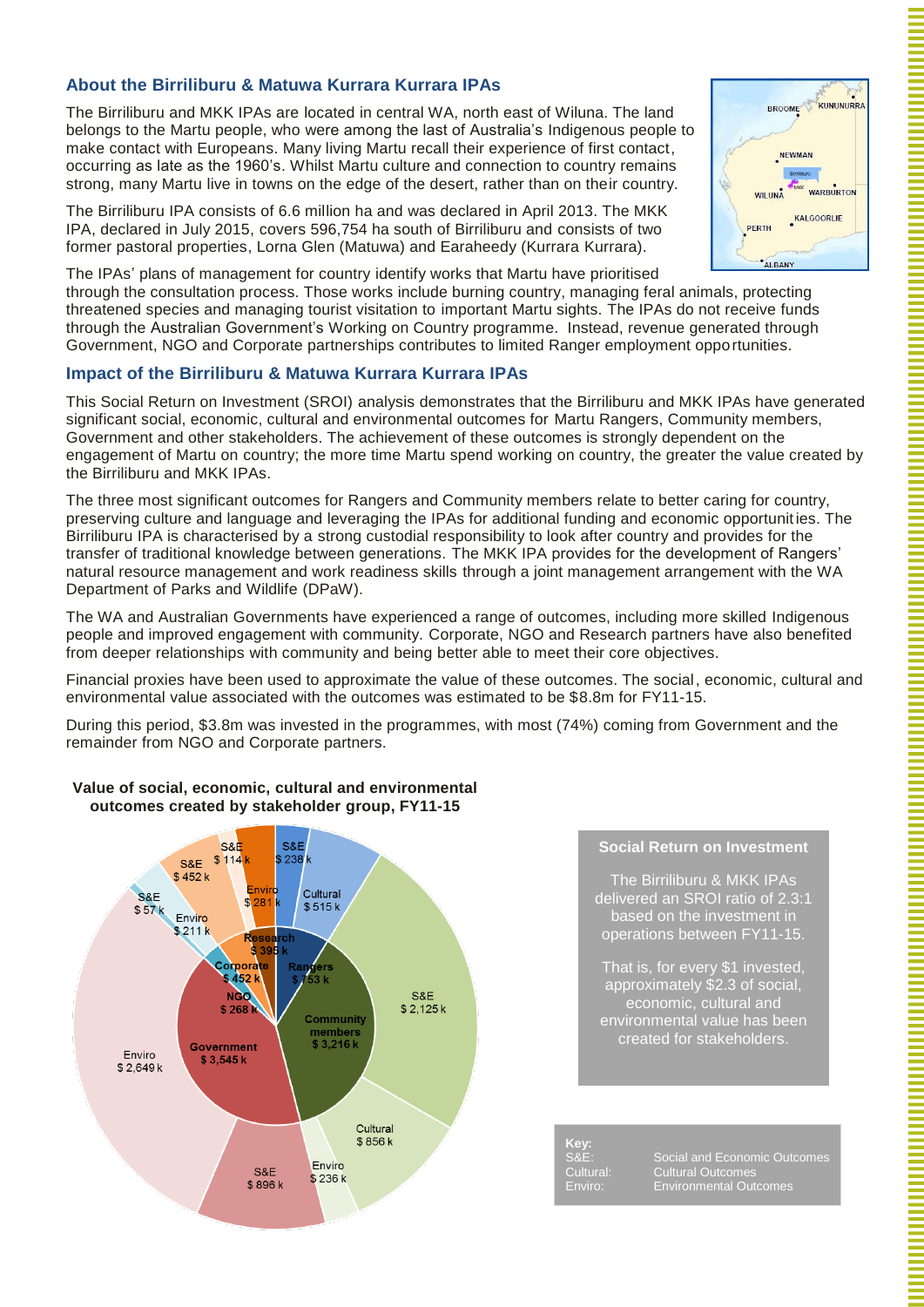### **About the Birriliburu & Matuwa Kurrara Kurrara IPAs**

The Birriliburu and MKK IPAs are located in central WA, north east of Wiluna. The land belongs to the Martu people, who were among the last of Australia's Indigenous people to make contact with Europeans. Many living Martu recall their experience of first contact, occurring as late as the 1960's. Whilst Martu culture and connection to country remains strong, many Martu live in towns on the edge of the desert, rather than on their country.

The Birriliburu IPA consists of 6.6 million ha and was declared in April 2013. The MKK IPA, declared in July 2015, covers 596,754 ha south of Birriliburu and consists of two former pastoral properties, Lorna Glen (Matuwa) and Earaheedy (Kurrara Kurrara).

The IPAs' plans of management for country identify works that Martu have prioritised through the consultation process. Those works include burning country, managing feral animals, protecting threatened species and managing tourist visitation to important Martu sights. The IPAs do not receive funds through the Australian Government's Working on Country programme. Instead, revenue generated through Government, NGO and Corporate partnerships contributes to limited Ranger employment opportunities.

#### **Impact of the Birriliburu & Matuwa Kurrara Kurrara IPAs**

This Social Return on Investment (SROI) analysis demonstrates that the Birriliburu and MKK IPAs have generated significant social, economic, cultural and environmental outcomes for Martu Rangers, Community members, Government and other stakeholders. The achievement of these outcomes is strongly dependent on the engagement of Martu on country; the more time Martu spend working on country, the greater the value created by the Birriliburu and MKK IPAs.

The three most significant outcomes for Rangers and Community members relate to better caring for country, preserving culture and language and leveraging the IPAs for additional funding and economic opportunit ies. The Birriliburu IPA is characterised by a strong custodial responsibility to look after country and provides for the transfer of traditional knowledge between generations. The MKK IPA provides for the development of Rangers' natural resource management and work readiness skills through a joint management arrangement with the WA Department of Parks and Wildlife (DPaW).

The WA and Australian Governments have experienced a range of outcomes, including more skilled Indigenous people and improved engagement with community. Corporate, NGO and Research partners have also benefited from deeper relationships with community and being better able to meet their core objectives.

Financial proxies have been used to approximate the value of these outcomes. The social, economic, cultural and environmental value associated with the outcomes was estimated to be \$8.8m for FY11-15.

During this period, \$3.8m was invested in the programmes, with most (74%) coming from Government and the remainder from NGO and Corporate partners.



## **Social Return on Investment**

The Birriliburu & MKK IPAs delivered an SROI ratio of 2.3:1 based on the investment in operations between FY11-15.

That is, for every \$1 invested, approximately \$2.3 of social, economic, cultural and environmental value has been created for stakeholders.

**Key:**

S&E: Social and Economic Outcomes<br>Cultural: Cultural Outcomes Cultural Outcom Enviro: Environmental Outcomes